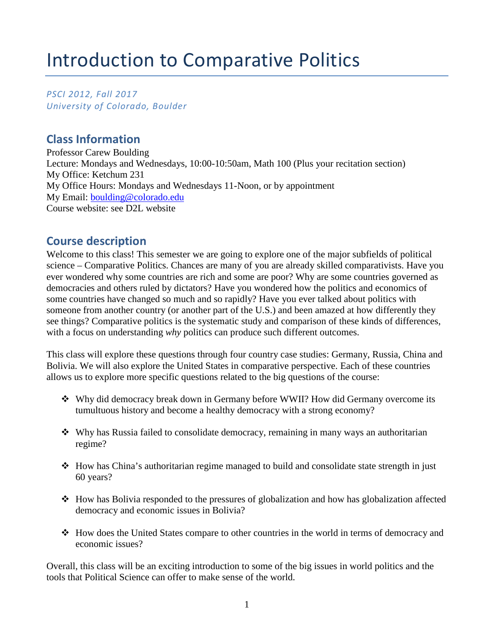# Introduction to Comparative Politics

*PSCI 2012, Fall 2017 University of Colorado, Boulder* 

# **Class Information**

Professor Carew Boulding Lecture: Mondays and Wednesdays, 10:00-10:50am, Math 100 (Plus your recitation section) My Office: Ketchum 231 My Office Hours: Mondays and Wednesdays 11-Noon, or by appointment My Email: [boulding@colorado.edu](mailto:boulding@colorado.edu) Course website: see D2L website

## **Course description**

Welcome to this class! This semester we are going to explore one of the major subfields of political science – Comparative Politics. Chances are many of you are already skilled comparativists. Have you ever wondered why some countries are rich and some are poor? Why are some countries governed as democracies and others ruled by dictators? Have you wondered how the politics and economics of some countries have changed so much and so rapidly? Have you ever talked about politics with someone from another country (or another part of the U.S.) and been amazed at how differently they see things? Comparative politics is the systematic study and comparison of these kinds of differences, with a focus on understanding *why* politics can produce such different outcomes.

This class will explore these questions through four country case studies: Germany, Russia, China and Bolivia. We will also explore the United States in comparative perspective. Each of these countries allows us to explore more specific questions related to the big questions of the course:

- Why did democracy break down in Germany before WWII? How did Germany overcome its tumultuous history and become a healthy democracy with a strong economy?
- $\bullet$  Why has Russia failed to consolidate democracy, remaining in many ways an authoritarian regime?
- How has China's authoritarian regime managed to build and consolidate state strength in just 60 years?
- How has Bolivia responded to the pressures of globalization and how has globalization affected democracy and economic issues in Bolivia?
- How does the United States compare to other countries in the world in terms of democracy and economic issues?

Overall, this class will be an exciting introduction to some of the big issues in world politics and the tools that Political Science can offer to make sense of the world.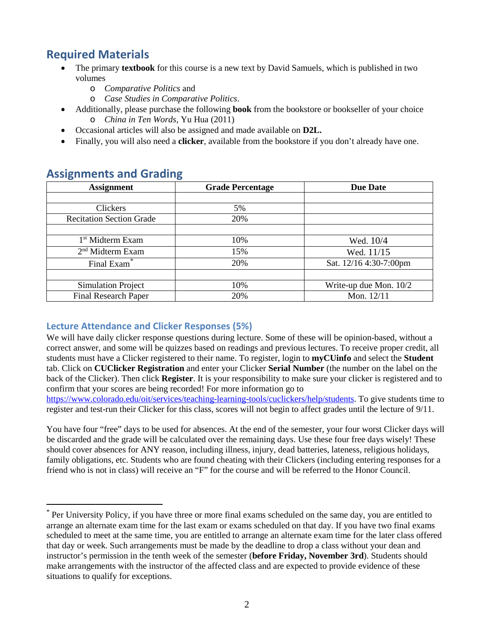# **Required Materials**

- The primary **textbook** for this course is a new text by David Samuels, which is published in two volumes
	- o *Comparative Politics* and
	- o *Case Studies in Comparative Politics*.
- Additionally, please purchase the following **book** from the bookstore or bookseller of your choice o *China in Ten Words,* Yu Hua (2011)
- Occasional articles will also be assigned and made available on **D2L.**
- Finally, you will also need a **clicker**, available from the bookstore if you don't already have one.

| <b>Assignment</b>               | <b>Grade Percentage</b> | <b>Due Date</b>          |  |  |  |
|---------------------------------|-------------------------|--------------------------|--|--|--|
|                                 |                         |                          |  |  |  |
| Clickers                        | 5%                      |                          |  |  |  |
| <b>Recitation Section Grade</b> | 20%                     |                          |  |  |  |
|                                 |                         |                          |  |  |  |
| 1 <sup>st</sup> Midterm Exam    | 10%                     | Wed. 10/4                |  |  |  |
| 2 <sup>nd</sup> Midterm Exam    | 15%                     | Wed. 11/15               |  |  |  |
| Final Exam <sup>*</sup>         | 20%                     | Sat. 12/16 4:30-7:00pm   |  |  |  |
|                                 |                         |                          |  |  |  |
| <b>Simulation Project</b>       | 10%                     | Write-up due Mon. $10/2$ |  |  |  |
| <b>Final Research Paper</b>     | 20%                     | Mon. 12/11               |  |  |  |

# **Assignments and Grading**

### **Lecture Attendance and Clicker Responses (5%)**

We will have daily clicker response questions during lecture. Some of these will be opinion-based, without a correct answer, and some will be quizzes based on readings and previous lectures. To receive proper credit, all students must have a Clicker registered to their name. To register, login to **myCUinfo** and select the **Student** tab. Click on **CUClicker Registration** and enter your Clicker **Serial Number** (the number on the label on the back of the Clicker). Then click **Register**. It is your responsibility to make sure your clicker is registered and to confirm that your scores are being recorded! For more information go to [https://www.colorado.edu/oit/services/teaching-learning-tools/cuclickers/help/students.](https://www.colorado.edu/oit/services/teaching-learning-tools/cuclickers/help/students) To give students time to

register and test-run their Clicker for this class, scores will not begin to affect grades until the lecture of 9/11.

You have four "free" days to be used for absences. At the end of the semester, your four worst Clicker days will be discarded and the grade will be calculated over the remaining days. Use these four free days wisely! These should cover absences for ANY reason, including illness, injury, dead batteries, lateness, religious holidays, family obligations, etc. Students who are found cheating with their Clickers (including entering responses for a friend who is not in class) will receive an "F" for the course and will be referred to the Honor Council.

<span id="page-1-0"></span> <sup>\*</sup> Per University Policy, if you have three or more final exams scheduled on the same day, you are entitled to arrange an alternate exam time for the last exam or exams scheduled on that day. If you have two final exams scheduled to meet at the same time, you are entitled to arrange an alternate exam time for the later class offered that day or week. Such arrangements must be made by the deadline to drop a class without your dean and instructor's permission in the tenth week of the semester (**before Friday, November 3rd**). Students should make arrangements with the instructor of the affected class and are expected to provide evidence of these situations to qualify for exceptions.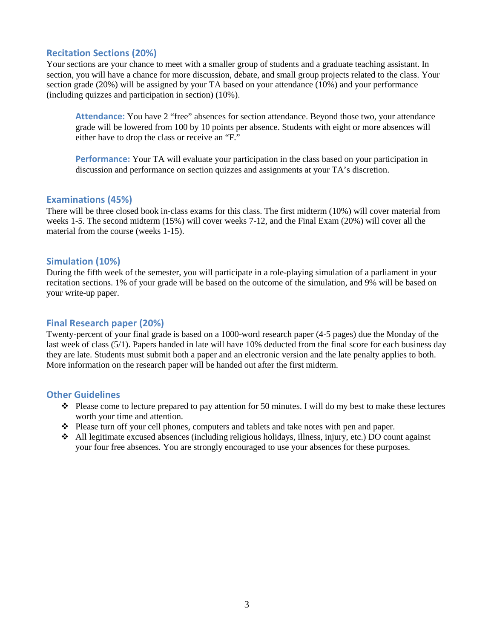#### **Recitation Sections (20%)**

Your sections are your chance to meet with a smaller group of students and a graduate teaching assistant. In section, you will have a chance for more discussion, debate, and small group projects related to the class. Your section grade (20%) will be assigned by your TA based on your attendance (10%) and your performance (including quizzes and participation in section) (10%).

**Attendance:** You have 2 "free" absences for section attendance. Beyond those two, your attendance grade will be lowered from 100 by 10 points per absence. Students with eight or more absences will either have to drop the class or receive an "F."

**Performance:** Your TA will evaluate your participation in the class based on your participation in discussion and performance on section quizzes and assignments at your TA's discretion.

#### **Examinations (45%)**

There will be three closed book in-class exams for this class. The first midterm (10%) will cover material from weeks 1-5. The second midterm (15%) will cover weeks 7-12, and the Final Exam (20%) will cover all the material from the course (weeks 1-15).

#### **Simulation (10%)**

During the fifth week of the semester, you will participate in a role-playing simulation of a parliament in your recitation sections. 1% of your grade will be based on the outcome of the simulation, and 9% will be based on your write-up paper.

#### **Final Research paper (20%)**

Twenty-percent of your final grade is based on a 1000-word research paper (4-5 pages) due the Monday of the last week of class (5/1). Papers handed in late will have 10% deducted from the final score for each business day they are late. Students must submit both a paper and an electronic version and the late penalty applies to both. More information on the research paper will be handed out after the first midterm.

#### **Other Guidelines**

- $\bullet$  Please come to lecture prepared to pay attention for 50 minutes. I will do my best to make these lectures worth your time and attention.
- Please turn off your cell phones, computers and tablets and take notes with pen and paper.
- All legitimate excused absences (including religious holidays, illness, injury, etc.) DO count against your four free absences. You are strongly encouraged to use your absences for these purposes.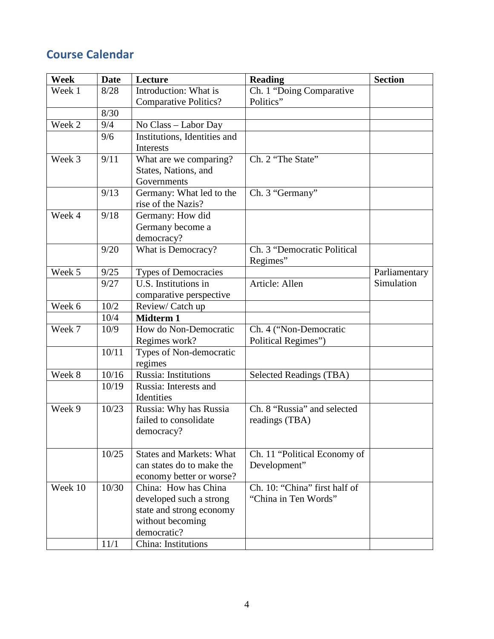# **Course Calendar**

| Week    | <b>Date</b> | Lecture                         | <b>Reading</b>                 | <b>Section</b> |
|---------|-------------|---------------------------------|--------------------------------|----------------|
| Week 1  | 8/28        | Introduction: What is           | Ch. 1 "Doing Comparative       |                |
|         |             | <b>Comparative Politics?</b>    | Politics"                      |                |
|         | 8/30        |                                 |                                |                |
| Week 2  | 9/4         | No Class - Labor Day            |                                |                |
|         | 9/6         | Institutions, Identities and    |                                |                |
|         |             | <b>Interests</b>                |                                |                |
| Week 3  | 9/11        | What are we comparing?          | Ch. 2 "The State"              |                |
|         |             | States, Nations, and            |                                |                |
|         |             | Governments                     |                                |                |
|         | 9/13        | Germany: What led to the        | Ch. 3 "Germany"                |                |
|         |             | rise of the Nazis?              |                                |                |
| Week 4  | 9/18        | Germany: How did                |                                |                |
|         |             | Germany become a                |                                |                |
|         |             | democracy?                      |                                |                |
|         | 9/20        | What is Democracy?              | Ch. 3 "Democratic Political    |                |
|         |             |                                 | Regimes"                       |                |
| Week 5  | 9/25        | <b>Types of Democracies</b>     |                                | Parliamentary  |
|         | 9/27        | U.S. Institutions in            | Article: Allen                 | Simulation     |
|         |             | comparative perspective         |                                |                |
| Week 6  | 10/2        | Review/Catch up                 |                                |                |
|         | 10/4        | <b>Midterm 1</b>                |                                |                |
| Week 7  | 10/9        | How do Non-Democratic           | Ch. 4 ("Non-Democratic         |                |
|         |             | Regimes work?                   | Political Regimes")            |                |
|         | 10/11       | Types of Non-democratic         |                                |                |
|         |             | regimes                         |                                |                |
| Week 8  | 10/16       | Russia: Institutions            | <b>Selected Readings (TBA)</b> |                |
|         | 10/19       | Russia: Interests and           |                                |                |
|         |             | Identities                      |                                |                |
| Week 9  | 10/23       | Russia: Why has Russia          | Ch. 8 "Russia" and selected    |                |
|         |             | failed to consolidate           | readings (TBA)                 |                |
|         |             | democracy?                      |                                |                |
|         |             |                                 |                                |                |
|         | 10/25       | <b>States and Markets: What</b> | Ch. 11 "Political Economy of   |                |
|         |             | can states do to make the       | Development"                   |                |
|         |             | economy better or worse?        |                                |                |
| Week 10 | 10/30       | China: How has China            | Ch. 10: "China" first half of  |                |
|         |             | developed such a strong         | "China in Ten Words"           |                |
|         |             | state and strong economy        |                                |                |
|         |             | without becoming                |                                |                |
|         |             | democratic?                     |                                |                |
|         | 11/1        | China: Institutions             |                                |                |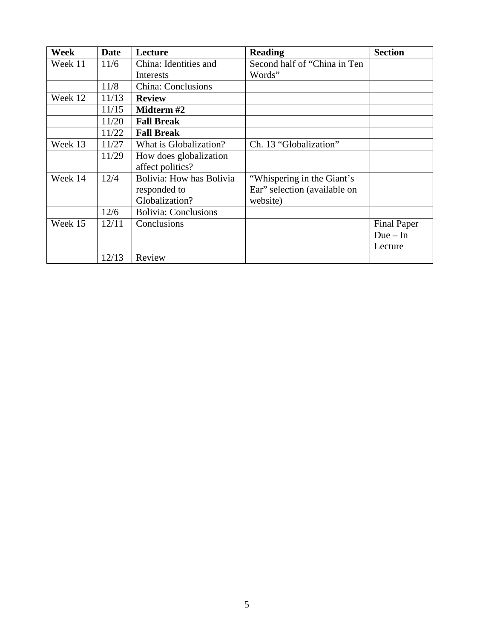| Week    | <b>Date</b> | Lecture                     | <b>Reading</b>               | <b>Section</b>     |
|---------|-------------|-----------------------------|------------------------------|--------------------|
| Week 11 | 11/6        | China: Identities and       | Second half of "China in Ten |                    |
|         |             | Interests                   | Words"                       |                    |
|         | 11/8        | <b>China: Conclusions</b>   |                              |                    |
| Week 12 | 11/13       | <b>Review</b>               |                              |                    |
|         | 11/15       | Midterm #2                  |                              |                    |
|         | 11/20       | <b>Fall Break</b>           |                              |                    |
|         | 11/22       | <b>Fall Break</b>           |                              |                    |
| Week 13 | 11/27       | What is Globalization?      | Ch. 13 "Globalization"       |                    |
|         | 11/29       | How does globalization      |                              |                    |
|         |             | affect politics?            |                              |                    |
| Week 14 | 12/4        | Bolivia: How has Bolivia    | "Whispering in the Giant's   |                    |
|         |             | responded to                | Ear" selection (available on |                    |
|         |             | Globalization?              | website)                     |                    |
|         | 12/6        | <b>Bolivia: Conclusions</b> |                              |                    |
| Week 15 | 12/11       | Conclusions                 |                              | <b>Final Paper</b> |
|         |             |                             |                              | $Due-In$           |
|         |             |                             |                              | Lecture            |
|         | 12/13       | Review                      |                              |                    |